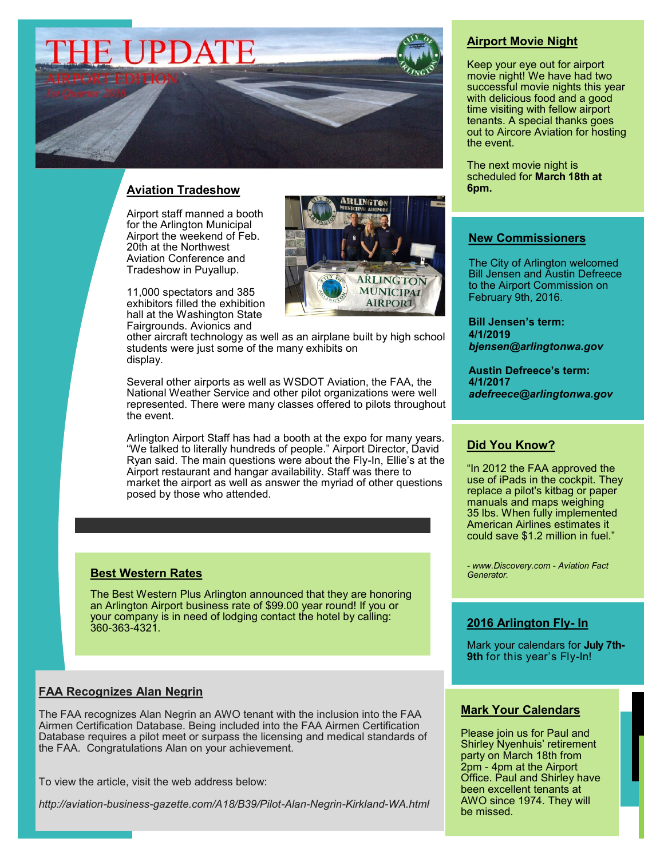# **E UPDATE**

## **Aviation Tradeshow**

Airport staff manned a booth for the Arlington Municipal Airport the weekend of Feb. 20th at the Northwest Aviation Conference and Tradeshow in Puyallup.

11,000 spectators and 385 exhibitors filled the exhibition hall at the Washington State Fairgrounds. Avionics and



other aircraft technology as well as an airplane built by high school students were just some of the many exhibits on display.

Several other airports as well as WSDOT Aviation, the FAA, the National Weather Service and other pilot organizations were well represented. There were many classes offered to pilots throughout the event.

Arlington Airport Staff has had a booth at the expo for many years. "We talked to literally hundreds of people." Airport Director, David Ryan said. The main questions were about the Fly-In, Ellie's at the Airport restaurant and hangar availability. Staff was there to market the airport as well as answer the myriad of other questions posed by those who attended.

#### **Best Western Rates**

The Best Western Plus Arlington announced that they are honoring an Arlington Airport business rate of \$99.00 year round! If you or your company is in need of lodging contact the hotel by calling: 360-363-4321.

## **FAA Recognizes Alan Negrin**

The FAA recognizes Alan Negrin an AWO tenant with the inclusion into the FAA Airmen Certification Database. Being included into the FAA Airmen Certification Database requires a pilot meet or surpass the licensing and medical standards of the FAA. Congratulations Alan on your achievement.

To view the article, visit the web address below:

*http://aviation-business-gazette.com/A18/B39/Pilot-Alan-Negrin-Kirkland-WA.html*

## **Airport Movie Night**

Keep your eye out for airport movie night! We have had two successful movie nights this year with delicious food and a good time visiting with fellow airport tenants. A special thanks goes out to Aircore Aviation for hosting the event.

The next movie night is scheduled for **March 18th at 6pm.**

### **New Commissioners**

The City of Arlington welcomed Bill Jensen and Austin Defreece to the Airport Commission on February 9th, 2016.

**Bill Jensen's term: 4/1/2019** *bjensen@arlingtonwa.gov*

**Austin Defreece's term: 4/1/2017** *adefreece@arlingtonwa.gov*

## **Did You Know?**

"In 2012 the FAA approved the use of iPads in the cockpit. They replace a pilot's kitbag or paper manuals and maps weighing 35 lbs. When fully implemented American Airlines estimates it could save \$1.2 million in fuel."

*- www.Discovery.com - Aviation Fact Generator.*

## **2016 Arlington Fly- In**

Mark your calendars for **July 7th-9th** for this year's Fly-In!

#### **Mark Your Calendars**

Please join us for Paul and Shirley Nyenhuis' retirement party on March 18th from 2pm - 4pm at the Airport Office. Paul and Shirley have been excellent tenants at AWO since 1974. They will be missed.